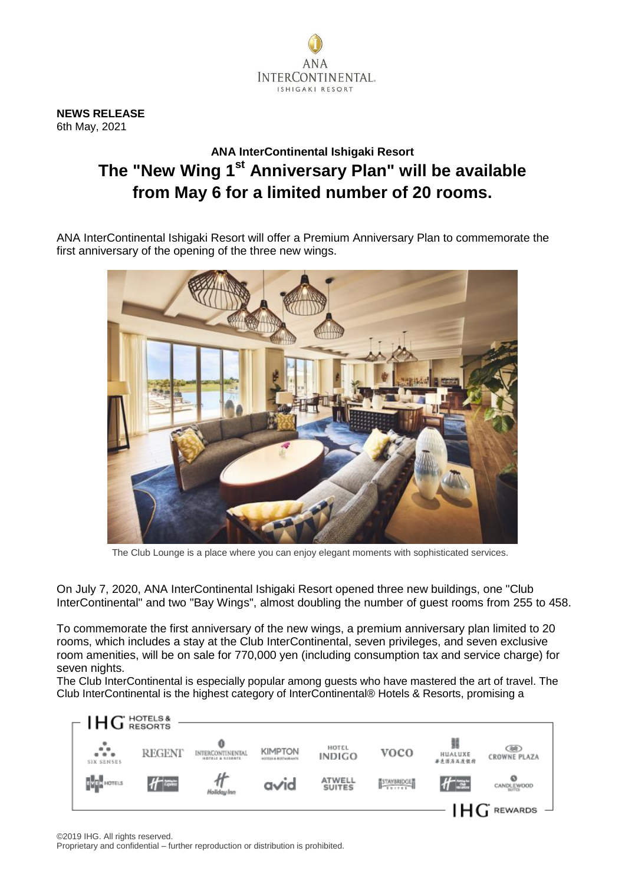

**NEWS RELEASE** 6th May, 2021

## **ANA InterContinental Ishigaki Resort The "New Wing 1st Anniversary Plan" will be available from May 6 for a limited number of 20 rooms.**

ANA InterContinental Ishigaki Resort will offer a Premium Anniversary Plan to commemorate the first anniversary of the opening of the three new wings.



The Club Lounge is a place where you can enjoy elegant moments with sophisticated services.

On July 7, 2020, ANA InterContinental Ishigaki Resort opened three new buildings, one "Club InterContinental" and two "Bay Wings", almost doubling the number of guest rooms from 255 to 458.

To commemorate the first anniversary of the new wings, a premium anniversary plan limited to 20 rooms, which includes a stay at the Club InterContinental, seven privileges, and seven exclusive room amenities, will be on sale for 770,000 yen (including consumption tax and service charge) for seven nights.

The Club InterContinental is especially popular among guests who have mastered the art of travel. The Club InterContinental is the highest category of InterContinental® Hotels & Resorts, promising a

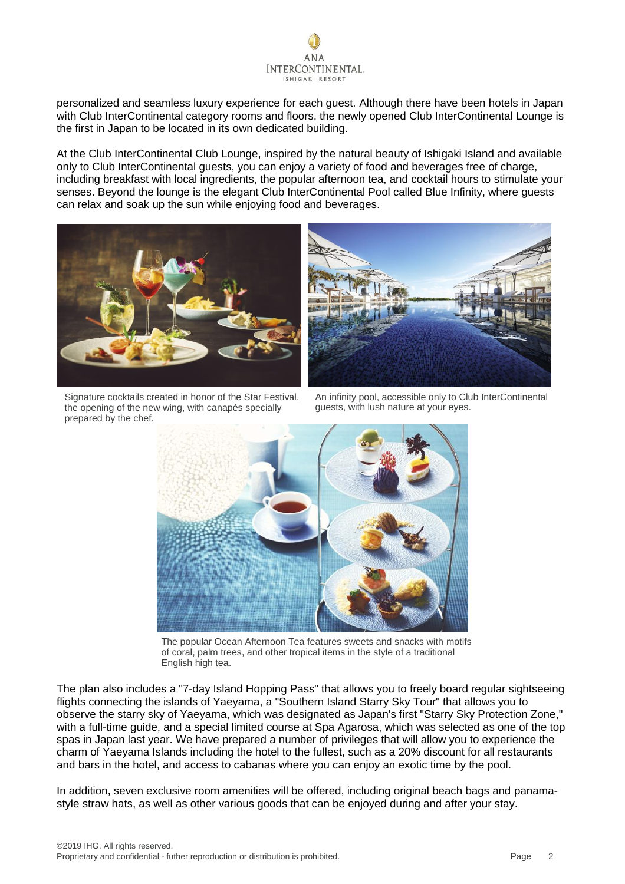

personalized and seamless luxury experience for each guest. Although there have been hotels in Japan with Club InterContinental category rooms and floors, the newly opened Club InterContinental Lounge is the first in Japan to be located in its own dedicated building.

At the Club InterContinental Club Lounge, inspired by the natural beauty of Ishigaki Island and available only to Club InterContinental guests, you can enjoy a variety of food and beverages free of charge, including breakfast with local ingredients, the popular afternoon tea, and cocktail hours to stimulate your senses. Beyond the lounge is the elegant Club InterContinental Pool called Blue Infinity, where guests can relax and soak up the sun while enjoying food and beverages.





Signature cocktails created in honor of the Star Festival, the opening of the new wing, with canapés specially prepared by the chef.

An infinity pool, accessible only to Club InterContinental guests, with lush nature at your eyes.



The popular Ocean Afternoon Tea features sweets and snacks with motifs of coral, palm trees, and other tropical items in the style of a traditional English high tea.

The plan also includes a "7-day Island Hopping Pass" that allows you to freely board regular sightseeing flights connecting the islands of Yaeyama, a "Southern Island Starry Sky Tour" that allows you to observe the starry sky of Yaeyama, which was designated as Japan's first "Starry Sky Protection Zone," with a full-time guide, and a special limited course at Spa Agarosa, which was selected as one of the top spas in Japan last year. We have prepared a number of privileges that will allow you to experience the charm of Yaeyama Islands including the hotel to the fullest, such as a 20% discount for all restaurants and bars in the hotel, and access to cabanas where you can enjoy an exotic time by the pool.

In addition, seven exclusive room amenities will be offered, including original beach bags and panamastyle straw hats, as well as other various goods that can be enjoyed during and after your stay.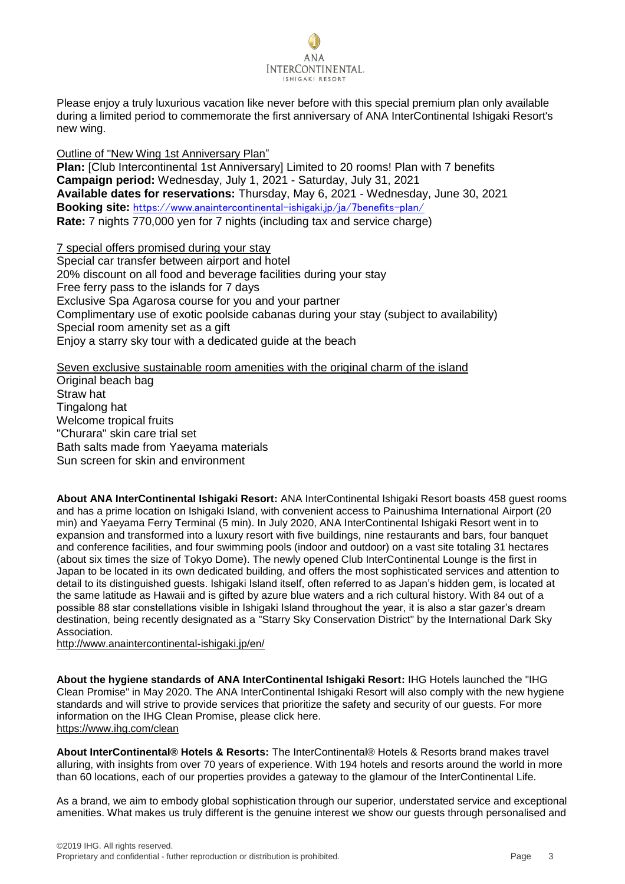

Please enjoy a truly luxurious vacation like never before with this special premium plan only available during a limited period to commemorate the first anniversary of ANA InterContinental Ishigaki Resort's new wing.

Outline of "New Wing 1st Anniversary Plan"

**Plan:** [Club Intercontinental 1st Anniversary] Limited to 20 rooms! Plan with 7 benefits **Campaign period:** Wednesday, July 1, 2021 - Saturday, July 31, 2021 **Available dates for reservations:** Thursday, May 6, 2021 - Wednesday, June 30, 2021 **Booking site:** <https://www.anaintercontinental-ishigaki.jp/ja/7benefits-plan/> **Rate:** 7 nights 770,000 yen for 7 nights (including tax and service charge)

7 special offers promised during your stay Special car transfer between airport and hotel 20% discount on all food and beverage facilities during your stay Free ferry pass to the islands for 7 days Exclusive Spa Agarosa course for you and your partner Complimentary use of exotic poolside cabanas during your stay (subject to availability) Special room amenity set as a gift Enjoy a starry sky tour with a dedicated guide at the beach

Seven exclusive sustainable room amenities with the original charm of the island

Original beach bag Straw hat Tingalong hat Welcome tropical fruits "Churara" skin care trial set Bath salts made from Yaeyama materials Sun screen for skin and environment

**About ANA InterContinental Ishigaki Resort:** ANA InterContinental Ishigaki Resort boasts 458 guest rooms and has a prime location on Ishigaki Island, with convenient access to Painushima International Airport (20 min) and Yaeyama Ferry Terminal (5 min). In July 2020, ANA InterContinental Ishigaki Resort went in to expansion and transformed into a luxury resort with five buildings, nine restaurants and bars, four banquet and conference facilities, and four swimming pools (indoor and outdoor) on a vast site totaling 31 hectares (about six times the size of Tokyo Dome). The newly opened Club InterContinental Lounge is the first in Japan to be located in its own dedicated building, and offers the most sophisticated services and attention to detail to its distinguished guests. Ishigaki Island itself, often referred to as Japan's hidden gem, is located at the same latitude as Hawaii and is gifted by azure blue waters and a rich cultural history. With 84 out of a possible 88 star constellations visible in Ishigaki Island throughout the year, it is also a star gazer's dream destination, being recently designated as a "Starry Sky Conservation District" by the International Dark Sky Association.

[http://www.anaintercontinental-ishigaki.jp/e](http://www.anaintercontinental-ishigaki.jp/)n/

**About the hygiene standards of ANA InterContinental Ishigaki Resort:** IHG Hotels launched the "IHG Clean Promise" in May 2020. The ANA InterContinental Ishigaki Resort will also comply with the new hygiene standards and will strive to provide services that prioritize the safety and security of our guests. For more information on the IHG Clean Promise, please click here. <https://www.ihg.com/clean>

**About InterContinental® Hotels & Resorts:** The InterContinental® Hotels & Resorts brand makes travel alluring, with insights from over 70 years of experience. With 194 hotels and resorts around the world in more than 60 locations, each of our properties provides a gateway to the glamour of the InterContinental Life.

As a brand, we aim to embody global sophistication through our superior, understated service and exceptional amenities. What makes us truly different is the genuine interest we show our guests through personalised and